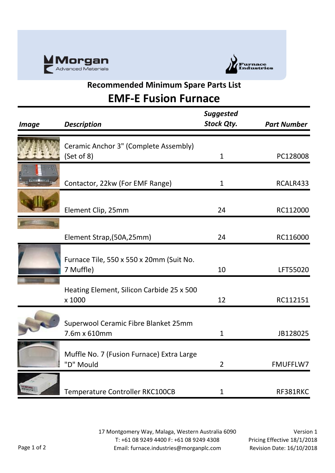



## **Recommended Minimum Spare Parts List**

## **EMF-E Fusion Furnace**

| <b>Image</b> | <b>Description</b>                                     | <b>Suggested</b><br><b>Stock Qty.</b> | <b>Part Number</b> |
|--------------|--------------------------------------------------------|---------------------------------------|--------------------|
|              | Ceramic Anchor 3" (Complete Assembly)<br>(Set of 8)    | $\mathbf{1}$                          | PC128008           |
|              | Contactor, 22kw (For EMF Range)                        | 1                                     | RCALR433           |
|              | Element Clip, 25mm                                     | 24                                    | RC112000           |
|              | Element Strap, (50A, 25mm)                             | 24                                    | RC116000           |
|              | Furnace Tile, 550 x 550 x 20mm (Suit No.<br>7 Muffle)  | 10                                    | LFT55020           |
|              | Heating Element, Silicon Carbide 25 x 500<br>x 1000    | 12                                    | RC112151           |
|              | Superwool Ceramic Fibre Blanket 25mm<br>7.6m x 610mm   | 1                                     | JB128025           |
|              | Muffle No. 7 (Fusion Furnace) Extra Large<br>"D" Mould | $\overline{2}$                        | <b>FMUFFLW7</b>    |
|              | Temperature Controller RKC100CB                        | 1                                     | RF381RKC           |